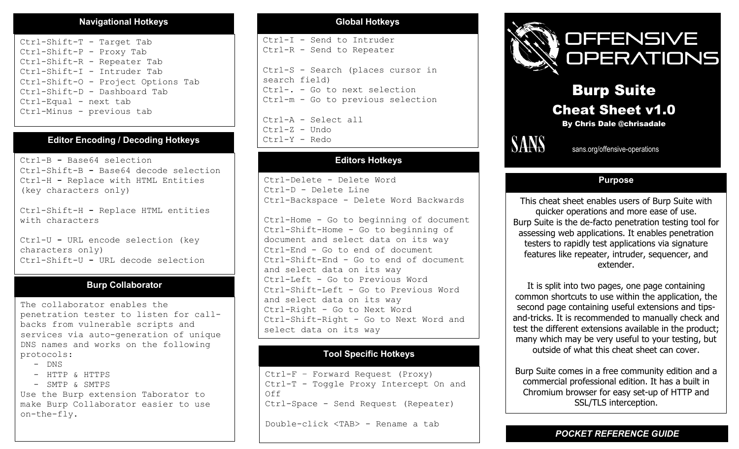#### **Navigational Hotkeys**

Ctrl-Shift-T - Target Tab Ctrl-Shift-P - Proxy Tab Ctrl-Shift-R - Repeater Tab Ctrl-Shift-I - Intruder Tab Ctrl-Shift-O - Project Options Tab Ctrl-Shift-D - Dashboard Tab Ctrl-Equal - next tab Ctrl-Minus - previous tab

### **Editor Encoding / Decoding Hotkeys**

Ctrl-B **-** Base64 selection Ctrl-Shift-B **-** Base64 decode selection Ctrl-H **-** Replace with HTML Entities (key characters only)

Ctrl-Shift-H **-** Replace HTML entities with characters

Ctrl-U **-** URL encode selection (key characters only) Ctrl-Shift-U **-** URL decode selection

#### **Burp Collaborator**

The collaborator enables the penetration tester to listen for callbacks from vulnerable scripts and services via auto-generation of unique DNS names and works on the following protocols:

- DNS
- $-$  HTTP  $\&$  HTTPS
- SMTP & SMTPS

Use the Burp extension Taborator to make Burp Collaborator easier to use on-the-fly.

#### **Global Hotkeys**

Ctrl-I - Send to Intruder Ctrl-R - Send to Repeater

Ctrl-S - Search (places cursor in search field) Ctrl-. - Go to next selection Ctrl-m - Go to previous selection

Ctrl-A - Select all Ctrl-Z - Undo Ctrl-Y - Redo

### **Editors Hotkeys**

Ctrl-Delete - Delete Word Ctrl-D - Delete Line Ctrl-Backspace - Delete Word Backwards

Ctrl-Home - Go to beginning of document Ctrl-Shift-Home - Go to beginning of document and select data on its way Ctrl-End - Go to end of document Ctrl-Shift-End - Go to end of document and select data on its way Ctrl-Left - Go to Previous Word Ctrl-Shift-Left - Go to Previous Word and select data on its way Ctrl-Right - Go to Next Word Ctrl-Shift-Right - Go to Next Word and select data on its way

### **Tool Specific Hotkeys**

Ctrl-F – Forward Request (Proxy) Ctrl-T - Toggle Proxy Intercept On and Off Ctrl-Space - Send Request (Repeater)

Double-click <TAB> - Rename a tab



# Burp Suite Cheat Sheet v1.0

By Chris Dale @chrisadale



**SANS** sans.org/offensive-operations

#### **Purpose**

This cheat sheet enables users of Burp Suite with quicker operations and more ease of use. Burp Suite is the de-facto penetration testing tool for assessing web applications. It enables penetration testers to rapidly test applications via signature features like repeater, intruder, sequencer, and extender.

It is split into two pages, one page containing common shortcuts to use within the application, the second page containing useful extensions and tipsand-tricks. It is recommended to manually check and test the different extensions available in the product; many which may be very useful to your testing, but outside of what this cheat sheet can cover.

Burp Suite comes in a free community edition and a commercial professional edition. It has a built in Chromium browser for easy set-up of HTTP and SSL/TLS interception.

*POCKET REFERENCE GUIDE*